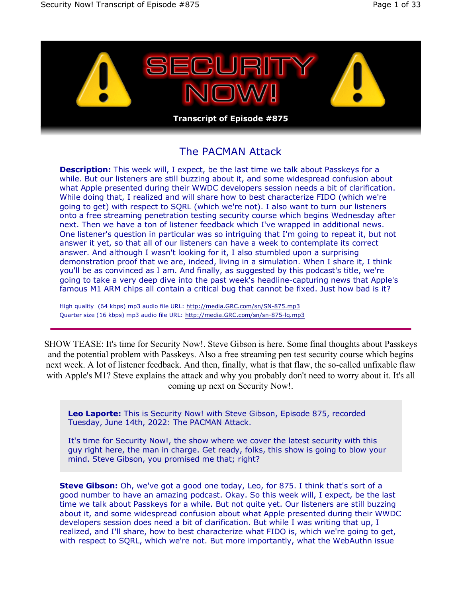

# The PACMAN Attack

**Description:** This week will, I expect, be the last time we talk about Passkeys for a while. But our listeners are still buzzing about it, and some widespread confusion about what Apple presented during their WWDC developers session needs a bit of clarification. While doing that, I realized and will share how to best characterize FIDO (which we're going to get) with respect to SQRL (which we're not). I also want to turn our listeners onto a free streaming penetration testing security course which begins Wednesday after next. Then we have a ton of listener feedback which I've wrapped in additional news. One listener's question in particular was so intriguing that I'm going to repeat it, but not answer it yet, so that all of our listeners can have a week to contemplate its correct answer. And although I wasn't looking for it, I also stumbled upon a surprising demonstration proof that we are, indeed, living in a simulation. When I share it, I think you'll be as convinced as I am. And finally, as suggested by this podcast's title, we're going to take a very deep dive into the past week's headline-capturing news that Apple's famous M1 ARM chips all contain a critical bug that cannot be fixed. Just how bad is it?

High quality (64 kbps) mp3 audio file URL: http://media.GRC.com/sn/SN-875.mp3 Quarter size (16 kbps) mp3 audio file URL: http://media.GRC.com/sn/sn-875-lq.mp3

SHOW TEASE: It's time for Security Now!. Steve Gibson is here. Some final thoughts about Passkeys and the potential problem with Passkeys. Also a free streaming pen test security course which begins next week. A lot of listener feedback. And then, finally, what is that flaw, the so-called unfixable flaw with Apple's M1? Steve explains the attack and why you probably don't need to worry about it. It's all coming up next on Security Now!.

**Leo Laporte:** This is Security Now! with Steve Gibson, Episode 875, recorded Tuesday, June 14th, 2022: The PACMAN Attack.

It's time for Security Now!, the show where we cover the latest security with this guy right here, the man in charge. Get ready, folks, this show is going to blow your mind. Steve Gibson, you promised me that; right?

**Steve Gibson:** Oh, we've got a good one today, Leo, for 875. I think that's sort of a good number to have an amazing podcast. Okay. So this week will, I expect, be the last time we talk about Passkeys for a while. But not quite yet. Our listeners are still buzzing about it, and some widespread confusion about what Apple presented during their WWDC developers session does need a bit of clarification. But while I was writing that up, I realized, and I'll share, how to best characterize what FIDO is, which we're going to get, with respect to SQRL, which we're not. But more importantly, what the WebAuthn issue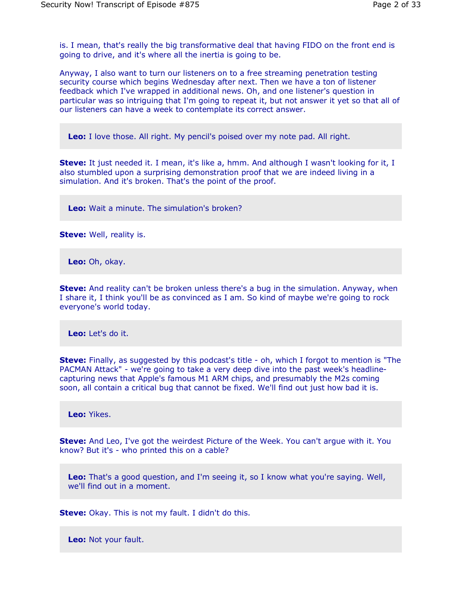is. I mean, that's really the big transformative deal that having FIDO on the front end is going to drive, and it's where all the inertia is going to be.

Anyway, I also want to turn our listeners on to a free streaming penetration testing security course which begins Wednesday after next. Then we have a ton of listener feedback which I've wrapped in additional news. Oh, and one listener's question in particular was so intriguing that I'm going to repeat it, but not answer it yet so that all of our listeners can have a week to contemplate its correct answer.

**Leo:** I love those. All right. My pencil's poised over my note pad. All right.

**Steve:** It just needed it. I mean, it's like a, hmm. And although I wasn't looking for it, I also stumbled upon a surprising demonstration proof that we are indeed living in a simulation. And it's broken. That's the point of the proof.

**Leo:** Wait a minute. The simulation's broken?

**Steve:** Well, reality is.

**Leo:** Oh, okay.

**Steve:** And reality can't be broken unless there's a bug in the simulation. Anyway, when I share it, I think you'll be as convinced as I am. So kind of maybe we're going to rock everyone's world today.

**Leo:** Let's do it.

**Steve:** Finally, as suggested by this podcast's title - oh, which I forgot to mention is "The PACMAN Attack" - we're going to take a very deep dive into the past week's headlinecapturing news that Apple's famous M1 ARM chips, and presumably the M2s coming soon, all contain a critical bug that cannot be fixed. We'll find out just how bad it is.

**Leo:** Yikes.

**Steve:** And Leo, I've got the weirdest Picture of the Week. You can't argue with it. You know? But it's - who printed this on a cable?

**Leo:** That's a good question, and I'm seeing it, so I know what you're saying. Well, we'll find out in a moment.

**Steve:** Okay. This is not my fault. I didn't do this.

**Leo:** Not your fault.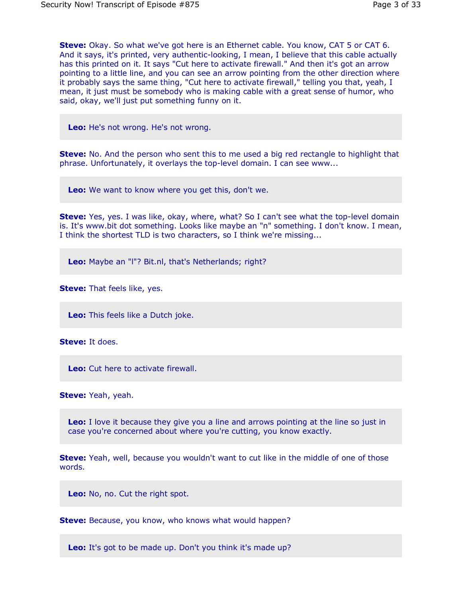**Steve:** Okay. So what we've got here is an Ethernet cable. You know, CAT 5 or CAT 6. And it says, it's printed, very authentic-looking, I mean, I believe that this cable actually has this printed on it. It says "Cut here to activate firewall." And then it's got an arrow pointing to a little line, and you can see an arrow pointing from the other direction where it probably says the same thing, "Cut here to activate firewall," telling you that, yeah, I mean, it just must be somebody who is making cable with a great sense of humor, who said, okay, we'll just put something funny on it.

**Leo:** He's not wrong. He's not wrong.

**Steve:** No. And the person who sent this to me used a big red rectangle to highlight that phrase. Unfortunately, it overlays the top-level domain. I can see www...

**Leo:** We want to know where you get this, don't we.

**Steve:** Yes, yes. I was like, okay, where, what? So I can't see what the top-level domain is. It's www.bit dot something. Looks like maybe an "n" something. I don't know. I mean, I think the shortest TLD is two characters, so I think we're missing...

**Leo:** Maybe an "l"? Bit.nl, that's Netherlands; right?

**Steve:** That feels like, yes.

**Leo:** This feels like a Dutch joke.

**Steve:** It does.

**Leo:** Cut here to activate firewall.

**Steve:** Yeah, yeah.

**Leo:** I love it because they give you a line and arrows pointing at the line so just in case you're concerned about where you're cutting, you know exactly.

**Steve:** Yeah, well, because you wouldn't want to cut like in the middle of one of those words.

**Leo:** No, no. Cut the right spot.

**Steve:** Because, you know, who knows what would happen?

**Leo:** It's got to be made up. Don't you think it's made up?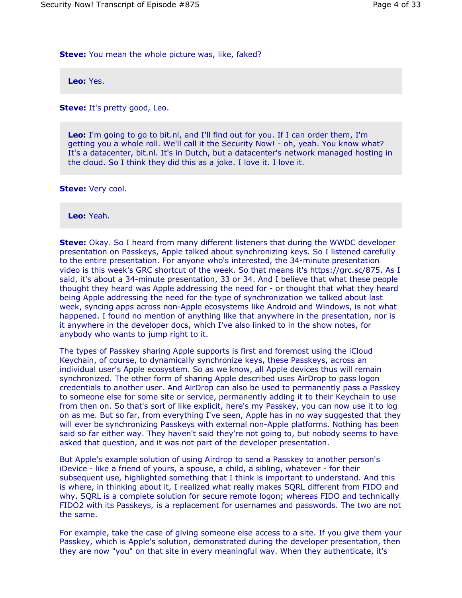**Steve:** You mean the whole picture was, like, faked?

**Leo:** Yes.

**Steve:** It's pretty good, Leo.

**Leo:** I'm going to go to bit.nl, and I'll find out for you. If I can order them, I'm getting you a whole roll. We'll call it the Security Now! - oh, yeah. You know what? It's a datacenter, bit.nl. It's in Dutch, but a datacenter's network managed hosting in the cloud. So I think they did this as a joke. I love it. I love it.

**Steve:** Very cool.

**Leo:** Yeah.

**Steve:** Okay. So I heard from many different listeners that during the WWDC developer presentation on Passkeys, Apple talked about synchronizing keys. So I listened carefully to the entire presentation. For anyone who's interested, the 34-minute presentation video is this week's GRC shortcut of the week. So that means it's https://grc.sc/875. As I said, it's about a 34-minute presentation, 33 or 34. And I believe that what these people thought they heard was Apple addressing the need for - or thought that what they heard being Apple addressing the need for the type of synchronization we talked about last week, syncing apps across non-Apple ecosystems like Android and Windows, is not what happened. I found no mention of anything like that anywhere in the presentation, nor is it anywhere in the developer docs, which I've also linked to in the show notes, for anybody who wants to jump right to it.

The types of Passkey sharing Apple supports is first and foremost using the iCloud Keychain, of course, to dynamically synchronize keys, these Passkeys, across an individual user's Apple ecosystem. So as we know, all Apple devices thus will remain synchronized. The other form of sharing Apple described uses AirDrop to pass logon credentials to another user. And AirDrop can also be used to permanently pass a Passkey to someone else for some site or service, permanently adding it to their Keychain to use from then on. So that's sort of like explicit, here's my Passkey, you can now use it to log on as me. But so far, from everything I've seen, Apple has in no way suggested that they will ever be synchronizing Passkeys with external non-Apple platforms. Nothing has been said so far either way. They haven't said they're not going to, but nobody seems to have asked that question, and it was not part of the developer presentation.

But Apple's example solution of using Airdrop to send a Passkey to another person's iDevice - like a friend of yours, a spouse, a child, a sibling, whatever - for their subsequent use, highlighted something that I think is important to understand. And this is where, in thinking about it, I realized what really makes SQRL different from FIDO and why. SQRL is a complete solution for secure remote logon; whereas FIDO and technically FIDO2 with its Passkeys, is a replacement for usernames and passwords. The two are not the same.

For example, take the case of giving someone else access to a site. If you give them your Passkey, which is Apple's solution, demonstrated during the developer presentation, then they are now "you" on that site in every meaningful way. When they authenticate, it's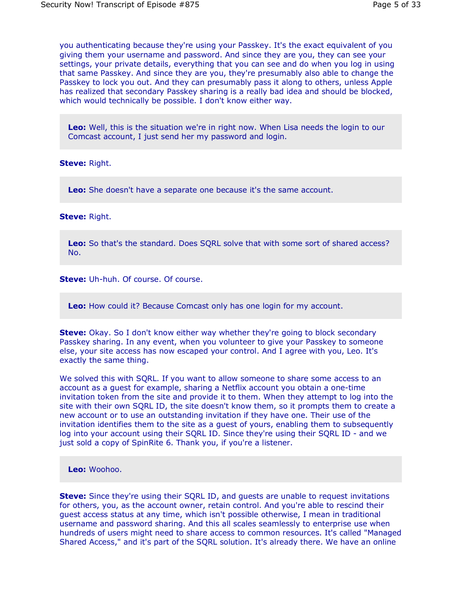you authenticating because they're using your Passkey. It's the exact equivalent of you giving them your username and password. And since they are you, they can see your settings, your private details, everything that you can see and do when you log in using that same Passkey. And since they are you, they're presumably also able to change the Passkey to lock you out. And they can presumably pass it along to others, unless Apple has realized that secondary Passkey sharing is a really bad idea and should be blocked, which would technically be possible. I don't know either way.

**Leo:** Well, this is the situation we're in right now. When Lisa needs the login to our Comcast account, I just send her my password and login.

**Steve:** Right.

**Leo:** She doesn't have a separate one because it's the same account.

### **Steve:** Right.

**Leo:** So that's the standard. Does SQRL solve that with some sort of shared access? No.

**Steve:** Uh-huh. Of course. Of course.

**Leo:** How could it? Because Comcast only has one login for my account.

**Steve:** Okay. So I don't know either way whether they're going to block secondary Passkey sharing. In any event, when you volunteer to give your Passkey to someone else, your site access has now escaped your control. And I agree with you, Leo. It's exactly the same thing.

We solved this with SORL. If you want to allow someone to share some access to an account as a guest for example, sharing a Netflix account you obtain a one-time invitation token from the site and provide it to them. When they attempt to log into the site with their own SQRL ID, the site doesn't know them, so it prompts them to create a new account or to use an outstanding invitation if they have one. Their use of the invitation identifies them to the site as a guest of yours, enabling them to subsequently log into your account using their SQRL ID. Since they're using their SQRL ID - and we just sold a copy of SpinRite 6. Thank you, if you're a listener.

**Leo:** Woohoo.

**Steve:** Since they're using their SQRL ID, and guests are unable to request invitations for others, you, as the account owner, retain control. And you're able to rescind their guest access status at any time, which isn't possible otherwise, I mean in traditional username and password sharing. And this all scales seamlessly to enterprise use when hundreds of users might need to share access to common resources. It's called "Managed Shared Access," and it's part of the SQRL solution. It's already there. We have an online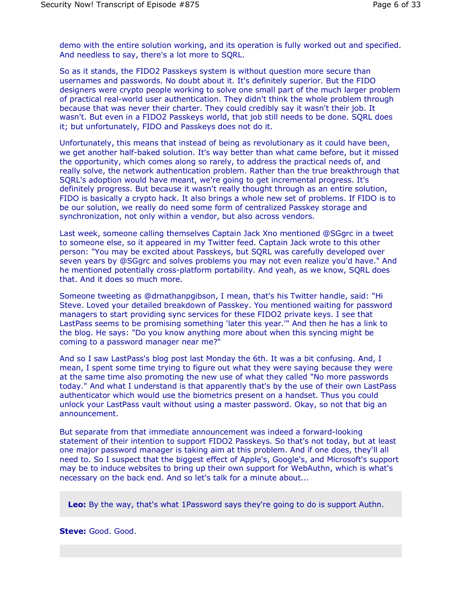demo with the entire solution working, and its operation is fully worked out and specified. And needless to say, there's a lot more to SQRL.

So as it stands, the FIDO2 Passkeys system is without question more secure than usernames and passwords. No doubt about it. It's definitely superior. But the FIDO designers were crypto people working to solve one small part of the much larger problem of practical real-world user authentication. They didn't think the whole problem through because that was never their charter. They could credibly say it wasn't their job. It wasn't. But even in a FIDO2 Passkeys world, that job still needs to be done. SQRL does it; but unfortunately, FIDO and Passkeys does not do it.

Unfortunately, this means that instead of being as revolutionary as it could have been, we get another half-baked solution. It's way better than what came before, but it missed the opportunity, which comes along so rarely, to address the practical needs of, and really solve, the network authentication problem. Rather than the true breakthrough that SQRL's adoption would have meant, we're going to get incremental progress. It's definitely progress. But because it wasn't really thought through as an entire solution, FIDO is basically a crypto hack. It also brings a whole new set of problems. If FIDO is to be our solution, we really do need some form of centralized Passkey storage and synchronization, not only within a vendor, but also across vendors.

Last week, someone calling themselves Captain Jack Xno mentioned @SGgrc in a tweet to someone else, so it appeared in my Twitter feed. Captain Jack wrote to this other person: "You may be excited about Passkeys, but SQRL was carefully developed over seven years by @SGgrc and solves problems you may not even realize you'd have." And he mentioned potentially cross-platform portability. And yeah, as we know, SQRL does that. And it does so much more.

Someone tweeting as @drnathanpgibson, I mean, that's his Twitter handle, said: "Hi Steve. Loved your detailed breakdown of Passkey. You mentioned waiting for password managers to start providing sync services for these FIDO2 private keys. I see that LastPass seems to be promising something 'later this year.'" And then he has a link to the blog. He says: "Do you know anything more about when this syncing might be coming to a password manager near me?"

And so I saw LastPass's blog post last Monday the 6th. It was a bit confusing. And, I mean, I spent some time trying to figure out what they were saying because they were at the same time also promoting the new use of what they called "No more passwords today." And what I understand is that apparently that's by the use of their own LastPass authenticator which would use the biometrics present on a handset. Thus you could unlock your LastPass vault without using a master password. Okay, so not that big an announcement.

But separate from that immediate announcement was indeed a forward-looking statement of their intention to support FIDO2 Passkeys. So that's not today, but at least one major password manager is taking aim at this problem. And if one does, they'll all need to. So I suspect that the biggest effect of Apple's, Google's, and Microsoft's support may be to induce websites to bring up their own support for WebAuthn, which is what's necessary on the back end. And so let's talk for a minute about...

**Leo:** By the way, that's what 1Password says they're going to do is support Authn.

## **Steve:** Good. Good.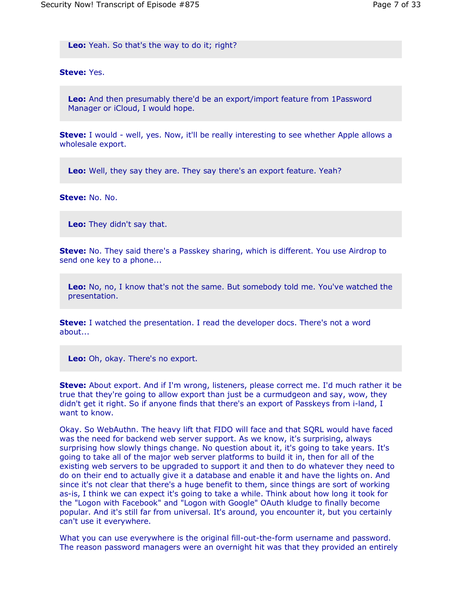**Leo:** Yeah. So that's the way to do it; right?

### **Steve:** Yes.

**Leo:** And then presumably there'd be an export/import feature from 1Password Manager or iCloud, I would hope.

**Steve:** I would - well, yes. Now, it'll be really interesting to see whether Apple allows a wholesale export.

**Leo:** Well, they say they are. They say there's an export feature. Yeah?

**Steve:** No. No.

**Leo:** They didn't say that.

**Steve:** No. They said there's a Passkey sharing, which is different. You use Airdrop to send one key to a phone...

**Leo:** No, no, I know that's not the same. But somebody told me. You've watched the presentation.

**Steve:** I watched the presentation. I read the developer docs. There's not a word about...

**Leo:** Oh, okay. There's no export.

**Steve:** About export. And if I'm wrong, listeners, please correct me. I'd much rather it be true that they're going to allow export than just be a curmudgeon and say, wow, they didn't get it right. So if anyone finds that there's an export of Passkeys from i-land, I want to know.

Okay. So WebAuthn. The heavy lift that FIDO will face and that SQRL would have faced was the need for backend web server support. As we know, it's surprising, always surprising how slowly things change. No question about it, it's going to take years. It's going to take all of the major web server platforms to build it in, then for all of the existing web servers to be upgraded to support it and then to do whatever they need to do on their end to actually give it a database and enable it and have the lights on. And since it's not clear that there's a huge benefit to them, since things are sort of working as-is, I think we can expect it's going to take a while. Think about how long it took for the "Logon with Facebook" and "Logon with Google" OAuth kludge to finally become popular. And it's still far from universal. It's around, you encounter it, but you certainly can't use it everywhere.

What you can use everywhere is the original fill-out-the-form username and password. The reason password managers were an overnight hit was that they provided an entirely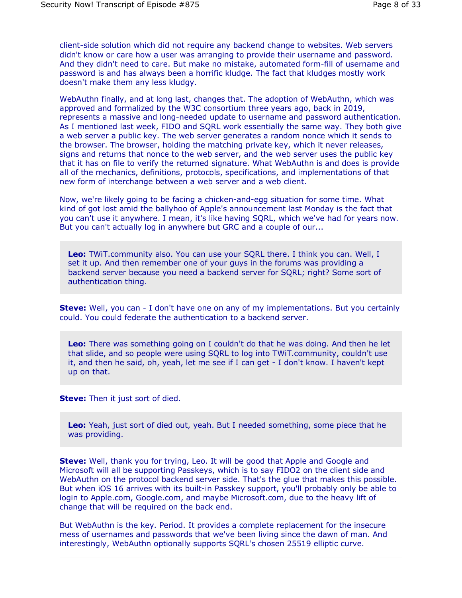client-side solution which did not require any backend change to websites. Web servers didn't know or care how a user was arranging to provide their username and password. And they didn't need to care. But make no mistake, automated form-fill of username and password is and has always been a horrific kludge. The fact that kludges mostly work doesn't make them any less kludgy.

WebAuthn finally, and at long last, changes that. The adoption of WebAuthn, which was approved and formalized by the W3C consortium three years ago, back in 2019, represents a massive and long-needed update to username and password authentication. As I mentioned last week, FIDO and SQRL work essentially the same way. They both give a web server a public key. The web server generates a random nonce which it sends to the browser. The browser, holding the matching private key, which it never releases, signs and returns that nonce to the web server, and the web server uses the public key that it has on file to verify the returned signature. What WebAuthn is and does is provide all of the mechanics, definitions, protocols, specifications, and implementations of that new form of interchange between a web server and a web client.

Now, we're likely going to be facing a chicken-and-egg situation for some time. What kind of got lost amid the ballyhoo of Apple's announcement last Monday is the fact that you can't use it anywhere. I mean, it's like having SQRL, which we've had for years now. But you can't actually log in anywhere but GRC and a couple of our...

**Leo:** TWiT.community also. You can use your SQRL there. I think you can. Well, I set it up. And then remember one of your guys in the forums was providing a backend server because you need a backend server for SQRL; right? Some sort of authentication thing.

**Steve:** Well, you can - I don't have one on any of my implementations. But you certainly could. You could federate the authentication to a backend server.

**Leo:** There was something going on I couldn't do that he was doing. And then he let that slide, and so people were using SQRL to log into TWiT.community, couldn't use it, and then he said, oh, yeah, let me see if I can get - I don't know. I haven't kept up on that.

**Steve:** Then it just sort of died.

**Leo:** Yeah, just sort of died out, yeah. But I needed something, some piece that he was providing.

**Steve:** Well, thank you for trying, Leo. It will be good that Apple and Google and Microsoft will all be supporting Passkeys, which is to say FIDO2 on the client side and WebAuthn on the protocol backend server side. That's the glue that makes this possible. But when iOS 16 arrives with its built-in Passkey support, you'll probably only be able to login to Apple.com, Google.com, and maybe Microsoft.com, due to the heavy lift of change that will be required on the back end.

But WebAuthn is the key. Period. It provides a complete replacement for the insecure mess of usernames and passwords that we've been living since the dawn of man. And interestingly, WebAuthn optionally supports SQRL's chosen 25519 elliptic curve.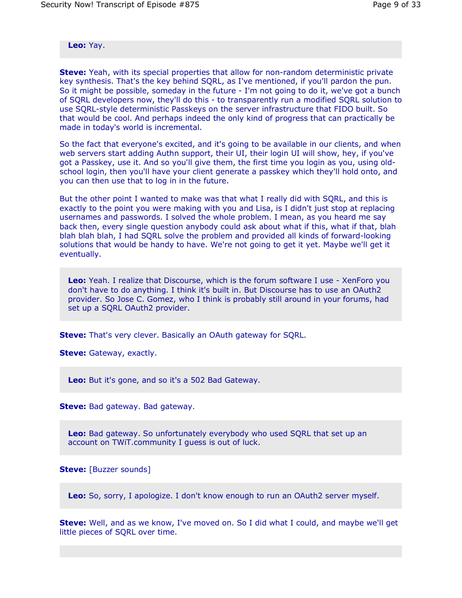**Leo:** Yay.

**Steve:** Yeah, with its special properties that allow for non-random deterministic private key synthesis. That's the key behind SQRL, as I've mentioned, if you'll pardon the pun. So it might be possible, someday in the future - I'm not going to do it, we've got a bunch of SQRL developers now, they'll do this - to transparently run a modified SQRL solution to use SQRL-style deterministic Passkeys on the server infrastructure that FIDO built. So that would be cool. And perhaps indeed the only kind of progress that can practically be made in today's world is incremental.

So the fact that everyone's excited, and it's going to be available in our clients, and when web servers start adding Authn support, their UI, their login UI will show, hey, if you've got a Passkey, use it. And so you'll give them, the first time you login as you, using oldschool login, then you'll have your client generate a passkey which they'll hold onto, and you can then use that to log in in the future.

But the other point I wanted to make was that what I really did with SQRL, and this is exactly to the point you were making with you and Lisa, is I didn't just stop at replacing usernames and passwords. I solved the whole problem. I mean, as you heard me say back then, every single question anybody could ask about what if this, what if that, blah blah blah blah, I had SQRL solve the problem and provided all kinds of forward-looking solutions that would be handy to have. We're not going to get it yet. Maybe we'll get it eventually.

**Leo:** Yeah. I realize that Discourse, which is the forum software I use - XenForo you don't have to do anything. I think it's built in. But Discourse has to use an OAuth2 provider. So Jose C. Gomez, who I think is probably still around in your forums, had set up a SQRL OAuth2 provider.

**Steve:** That's very clever. Basically an OAuth gateway for SQRL.

**Steve:** Gateway, exactly.

**Leo:** But it's gone, and so it's a 502 Bad Gateway.

**Steve:** Bad gateway. Bad gateway.

**Leo:** Bad gateway. So unfortunately everybody who used SQRL that set up an account on TWiT.community I guess is out of luck.

**Steve:** [Buzzer sounds]

**Leo:** So, sorry, I apologize. I don't know enough to run an OAuth2 server myself.

**Steve:** Well, and as we know, I've moved on. So I did what I could, and maybe we'll get little pieces of SQRL over time.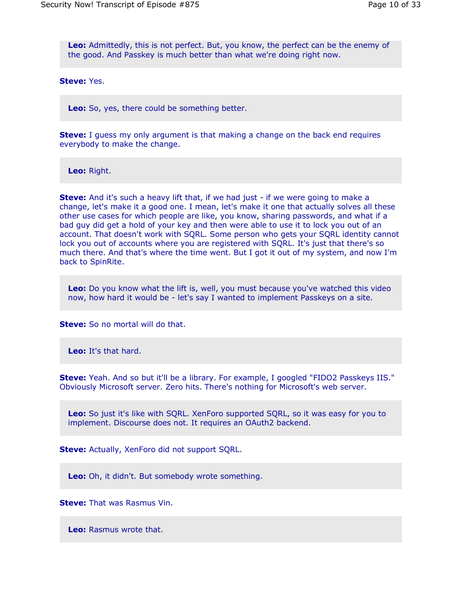**Leo:** Admittedly, this is not perfect. But, you know, the perfect can be the enemy of the good. And Passkey is much better than what we're doing right now.

**Steve:** Yes.

**Leo:** So, yes, there could be something better.

**Steve:** I guess my only argument is that making a change on the back end requires everybody to make the change.

**Leo:** Right.

**Steve:** And it's such a heavy lift that, if we had just - if we were going to make a change, let's make it a good one. I mean, let's make it one that actually solves all these other use cases for which people are like, you know, sharing passwords, and what if a bad guy did get a hold of your key and then were able to use it to lock you out of an account. That doesn't work with SQRL. Some person who gets your SQRL identity cannot lock you out of accounts where you are registered with SQRL. It's just that there's so much there. And that's where the time went. But I got it out of my system, and now I'm back to SpinRite.

**Leo:** Do you know what the lift is, well, you must because you've watched this video now, how hard it would be - let's say I wanted to implement Passkeys on a site.

**Steve:** So no mortal will do that.

**Leo:** It's that hard.

**Steve:** Yeah. And so but it'll be a library. For example, I googled "FIDO2 Passkeys IIS." Obviously Microsoft server. Zero hits. There's nothing for Microsoft's web server.

**Leo:** So just it's like with SQRL. XenForo supported SQRL, so it was easy for you to implement. Discourse does not. It requires an OAuth2 backend.

**Steve:** Actually, XenForo did not support SQRL.

**Leo:** Oh, it didn't. But somebody wrote something.

**Steve:** That was Rasmus Vin.

**Leo:** Rasmus wrote that.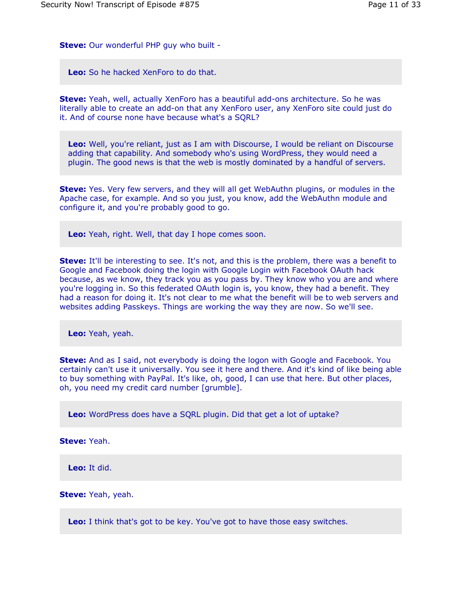**Steve:** Our wonderful PHP guy who built -

**Leo:** So he hacked XenForo to do that.

**Steve:** Yeah, well, actually XenForo has a beautiful add-ons architecture. So he was literally able to create an add-on that any XenForo user, any XenForo site could just do it. And of course none have because what's a SQRL?

**Leo:** Well, you're reliant, just as I am with Discourse, I would be reliant on Discourse adding that capability. And somebody who's using WordPress, they would need a plugin. The good news is that the web is mostly dominated by a handful of servers.

**Steve:** Yes. Very few servers, and they will all get WebAuthn plugins, or modules in the Apache case, for example. And so you just, you know, add the WebAuthn module and configure it, and you're probably good to go.

**Leo:** Yeah, right. Well, that day I hope comes soon.

**Steve:** It'll be interesting to see. It's not, and this is the problem, there was a benefit to Google and Facebook doing the login with Google Login with Facebook OAuth hack because, as we know, they track you as you pass by. They know who you are and where you're logging in. So this federated OAuth login is, you know, they had a benefit. They had a reason for doing it. It's not clear to me what the benefit will be to web servers and websites adding Passkeys. Things are working the way they are now. So we'll see.

**Leo:** Yeah, yeah.

**Steve:** And as I said, not everybody is doing the logon with Google and Facebook. You certainly can't use it universally. You see it here and there. And it's kind of like being able to buy something with PayPal. It's like, oh, good, I can use that here. But other places, oh, you need my credit card number [grumble].

**Leo:** WordPress does have a SQRL plugin. Did that get a lot of uptake?

**Steve:** Yeah.

**Leo:** It did.

**Steve:** Yeah, yeah.

**Leo:** I think that's got to be key. You've got to have those easy switches.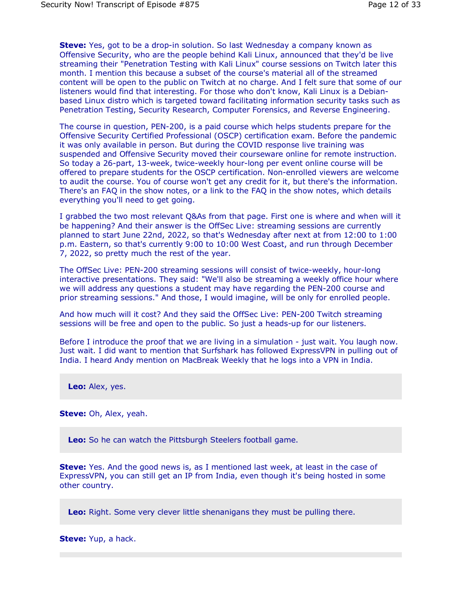**Steve:** Yes, got to be a drop-in solution. So last Wednesday a company known as Offensive Security, who are the people behind Kali Linux, announced that they'd be live streaming their "Penetration Testing with Kali Linux" course sessions on Twitch later this month. I mention this because a subset of the course's material all of the streamed content will be open to the public on Twitch at no charge. And I felt sure that some of our listeners would find that interesting. For those who don't know, Kali Linux is a Debianbased Linux distro which is targeted toward facilitating information security tasks such as Penetration Testing, Security Research, Computer Forensics, and Reverse Engineering.

The course in question, PEN-200, is a paid course which helps students prepare for the Offensive Security Certified Professional (OSCP) certification exam. Before the pandemic it was only available in person. But during the COVID response live training was suspended and Offensive Security moved their courseware online for remote instruction. So today a 26-part, 13-week, twice-weekly hour-long per event online course will be offered to prepare students for the OSCP certification. Non-enrolled viewers are welcome to audit the course. You of course won't get any credit for it, but there's the information. There's an FAQ in the show notes, or a link to the FAQ in the show notes, which details everything you'll need to get going.

I grabbed the two most relevant Q&As from that page. First one is where and when will it be happening? And their answer is the OffSec Live: streaming sessions are currently planned to start June 22nd, 2022, so that's Wednesday after next at from 12:00 to 1:00 p.m. Eastern, so that's currently 9:00 to 10:00 West Coast, and run through December 7, 2022, so pretty much the rest of the year.

The OffSec Live: PEN-200 streaming sessions will consist of twice-weekly, hour-long interactive presentations. They said: "We'll also be streaming a weekly office hour where we will address any questions a student may have regarding the PEN-200 course and prior streaming sessions." And those, I would imagine, will be only for enrolled people.

And how much will it cost? And they said the OffSec Live: PEN-200 Twitch streaming sessions will be free and open to the public. So just a heads-up for our listeners.

Before I introduce the proof that we are living in a simulation - just wait. You laugh now. Just wait. I did want to mention that Surfshark has followed ExpressVPN in pulling out of India. I heard Andy mention on MacBreak Weekly that he logs into a VPN in India.

**Leo:** Alex, yes.

**Steve:** Oh, Alex, yeah.

**Leo:** So he can watch the Pittsburgh Steelers football game.

**Steve:** Yes. And the good news is, as I mentioned last week, at least in the case of ExpressVPN, you can still get an IP from India, even though it's being hosted in some other country.

**Leo:** Right. Some very clever little shenanigans they must be pulling there.

**Steve:** Yup, a hack.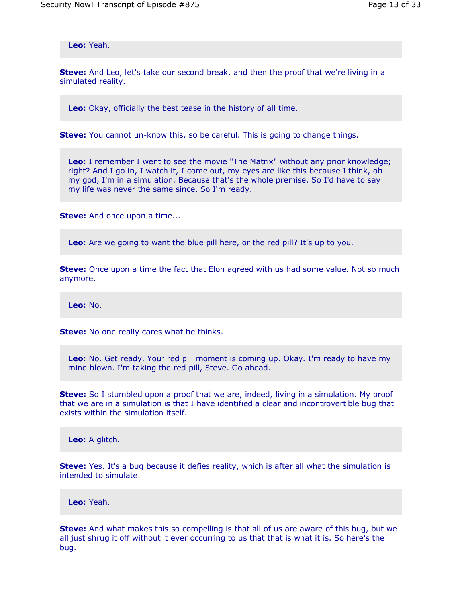**Leo:** Yeah.

**Steve:** And Leo, let's take our second break, and then the proof that we're living in a simulated reality.

**Leo:** Okay, officially the best tease in the history of all time.

**Steve:** You cannot un-know this, so be careful. This is going to change things.

**Leo:** I remember I went to see the movie "The Matrix" without any prior knowledge; right? And I go in, I watch it, I come out, my eyes are like this because I think, oh my god, I'm in a simulation. Because that's the whole premise. So I'd have to say my life was never the same since. So I'm ready.

**Steve:** And once upon a time...

**Leo:** Are we going to want the blue pill here, or the red pill? It's up to you.

**Steve:** Once upon a time the fact that Elon agreed with us had some value. Not so much anymore.

**Leo:** No.

**Steve:** No one really cares what he thinks.

**Leo:** No. Get ready. Your red pill moment is coming up. Okay. I'm ready to have my mind blown. I'm taking the red pill, Steve. Go ahead.

**Steve:** So I stumbled upon a proof that we are, indeed, living in a simulation. My proof that we are in a simulation is that I have identified a clear and incontrovertible bug that exists within the simulation itself.

**Leo:** A glitch.

**Steve:** Yes. It's a bug because it defies reality, which is after all what the simulation is intended to simulate.

**Leo:** Yeah.

**Steve:** And what makes this so compelling is that all of us are aware of this bug, but we all just shrug it off without it ever occurring to us that that is what it is. So here's the bug.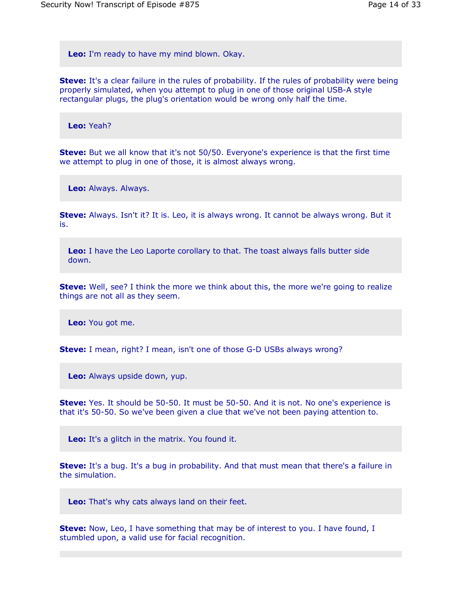**Leo:** I'm ready to have my mind blown. Okay.

**Steve:** It's a clear failure in the rules of probability. If the rules of probability were being properly simulated, when you attempt to plug in one of those original USB-A style rectangular plugs, the plug's orientation would be wrong only half the time.

**Leo:** Yeah?

**Steve:** But we all know that it's not 50/50. Everyone's experience is that the first time we attempt to plug in one of those, it is almost always wrong.

**Leo:** Always. Always.

**Steve:** Always. Isn't it? It is. Leo, it is always wrong. It cannot be always wrong. But it is.

**Leo:** I have the Leo Laporte corollary to that. The toast always falls butter side down.

**Steve:** Well, see? I think the more we think about this, the more we're going to realize things are not all as they seem.

**Leo:** You got me.

**Steve:** I mean, right? I mean, isn't one of those G-D USBs always wrong?

**Leo:** Always upside down, yup.

**Steve:** Yes. It should be 50-50. It must be 50-50. And it is not. No one's experience is that it's 50-50. So we've been given a clue that we've not been paying attention to.

**Leo:** It's a glitch in the matrix. You found it.

**Steve:** It's a bug. It's a bug in probability. And that must mean that there's a failure in the simulation.

**Leo:** That's why cats always land on their feet.

**Steve:** Now, Leo, I have something that may be of interest to you. I have found, I stumbled upon, a valid use for facial recognition.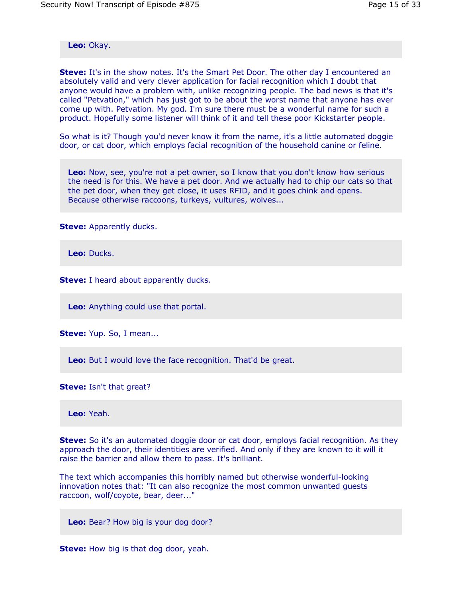**Leo:** Okay.

**Steve:** It's in the show notes. It's the Smart Pet Door. The other day I encountered an absolutely valid and very clever application for facial recognition which I doubt that anyone would have a problem with, unlike recognizing people. The bad news is that it's called "Petvation," which has just got to be about the worst name that anyone has ever come up with. Petvation. My god. I'm sure there must be a wonderful name for such a product. Hopefully some listener will think of it and tell these poor Kickstarter people.

So what is it? Though you'd never know it from the name, it's a little automated doggie door, or cat door, which employs facial recognition of the household canine or feline.

**Leo:** Now, see, you're not a pet owner, so I know that you don't know how serious the need is for this. We have a pet door. And we actually had to chip our cats so that the pet door, when they get close, it uses RFID, and it goes chink and opens. Because otherwise raccoons, turkeys, vultures, wolves...

**Steve:** Apparently ducks.

**Leo:** Ducks.

**Steve:** I heard about apparently ducks.

**Leo:** Anything could use that portal.

**Steve:** Yup. So, I mean...

**Leo:** But I would love the face recognition. That'd be great.

**Steve:** Isn't that great?

**Leo:** Yeah.

**Steve:** So it's an automated doggie door or cat door, employs facial recognition. As they approach the door, their identities are verified. And only if they are known to it will it raise the barrier and allow them to pass. It's brilliant.

The text which accompanies this horribly named but otherwise wonderful-looking innovation notes that: "It can also recognize the most common unwanted guests raccoon, wolf/coyote, bear, deer..."

**Leo:** Bear? How big is your dog door?

**Steve:** How big is that dog door, yeah.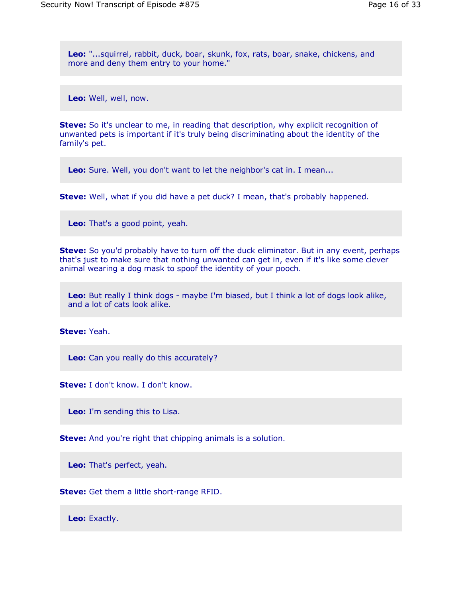**Leo:** "...squirrel, rabbit, duck, boar, skunk, fox, rats, boar, snake, chickens, and more and deny them entry to your home."

**Leo:** Well, well, now.

**Steve:** So it's unclear to me, in reading that description, why explicit recognition of unwanted pets is important if it's truly being discriminating about the identity of the family's pet.

**Leo:** Sure. Well, you don't want to let the neighbor's cat in. I mean...

**Steve:** Well, what if you did have a pet duck? I mean, that's probably happened.

**Leo:** That's a good point, yeah.

**Steve:** So you'd probably have to turn off the duck eliminator. But in any event, perhaps that's just to make sure that nothing unwanted can get in, even if it's like some clever animal wearing a dog mask to spoof the identity of your pooch.

**Leo:** But really I think dogs - maybe I'm biased, but I think a lot of dogs look alike, and a lot of cats look alike.

**Steve:** Yeah.

**Leo:** Can you really do this accurately?

**Steve:** I don't know. I don't know.

**Leo:** I'm sending this to Lisa.

**Steve:** And you're right that chipping animals is a solution.

**Leo:** That's perfect, yeah.

**Steve:** Get them a little short-range RFID.

**Leo:** Exactly.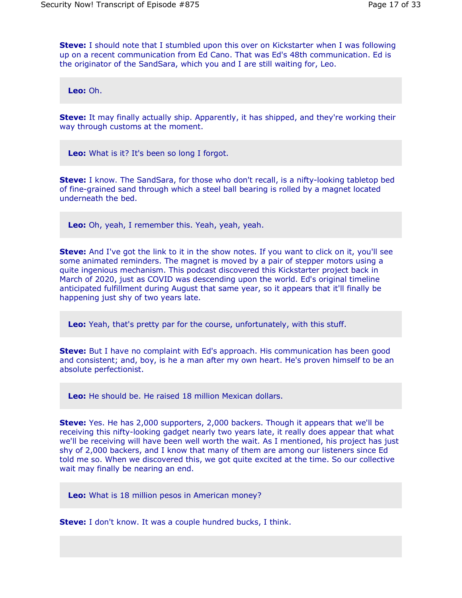**Steve:** I should note that I stumbled upon this over on Kickstarter when I was following up on a recent communication from Ed Cano. That was Ed's 48th communication. Ed is the originator of the SandSara, which you and I are still waiting for, Leo.

**Leo:** Oh.

**Steve:** It may finally actually ship. Apparently, it has shipped, and they're working their way through customs at the moment.

**Leo:** What is it? It's been so long I forgot.

**Steve:** I know. The SandSara, for those who don't recall, is a nifty-looking tabletop bed of fine-grained sand through which a steel ball bearing is rolled by a magnet located underneath the bed.

**Leo:** Oh, yeah, I remember this. Yeah, yeah, yeah.

**Steve:** And I've got the link to it in the show notes. If you want to click on it, you'll see some animated reminders. The magnet is moved by a pair of stepper motors using a quite ingenious mechanism. This podcast discovered this Kickstarter project back in March of 2020, just as COVID was descending upon the world. Ed's original timeline anticipated fulfillment during August that same year, so it appears that it'll finally be happening just shy of two years late.

**Leo:** Yeah, that's pretty par for the course, unfortunately, with this stuff.

**Steve:** But I have no complaint with Ed's approach. His communication has been good and consistent; and, boy, is he a man after my own heart. He's proven himself to be an absolute perfectionist.

**Leo:** He should be. He raised 18 million Mexican dollars.

**Steve:** Yes. He has 2,000 supporters, 2,000 backers. Though it appears that we'll be receiving this nifty-looking gadget nearly two years late, it really does appear that what we'll be receiving will have been well worth the wait. As I mentioned, his project has just shy of 2,000 backers, and I know that many of them are among our listeners since Ed told me so. When we discovered this, we got quite excited at the time. So our collective wait may finally be nearing an end.

**Leo:** What is 18 million pesos in American money?

**Steve:** I don't know. It was a couple hundred bucks, I think.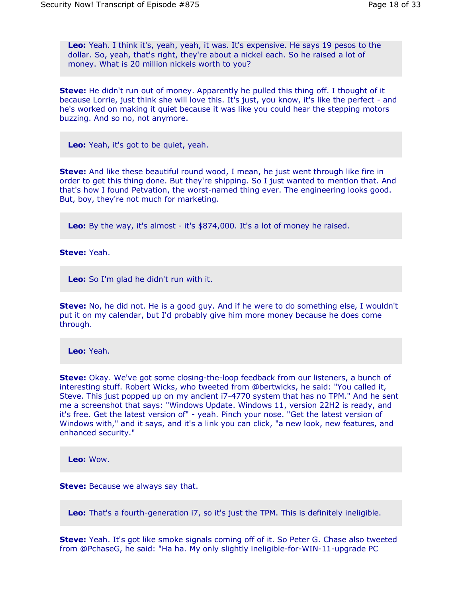**Leo:** Yeah. I think it's, yeah, yeah, it was. It's expensive. He says 19 pesos to the dollar. So, yeah, that's right, they're about a nickel each. So he raised a lot of money. What is 20 million nickels worth to you?

**Steve:** He didn't run out of money. Apparently he pulled this thing off. I thought of it because Lorrie, just think she will love this. It's just, you know, it's like the perfect - and he's worked on making it quiet because it was like you could hear the stepping motors buzzing. And so no, not anymore.

**Leo:** Yeah, it's got to be quiet, yeah.

**Steve:** And like these beautiful round wood, I mean, he just went through like fire in order to get this thing done. But they're shipping. So I just wanted to mention that. And that's how I found Petvation, the worst-named thing ever. The engineering looks good. But, boy, they're not much for marketing.

**Leo:** By the way, it's almost - it's \$874,000. It's a lot of money he raised.

**Steve:** Yeah.

**Leo:** So I'm glad he didn't run with it.

**Steve:** No, he did not. He is a good guy. And if he were to do something else, I wouldn't put it on my calendar, but I'd probably give him more money because he does come through.

**Leo:** Yeah.

**Steve:** Okay. We've got some closing-the-loop feedback from our listeners, a bunch of interesting stuff. Robert Wicks, who tweeted from @bertwicks, he said: "You called it, Steve. This just popped up on my ancient i7-4770 system that has no TPM." And he sent me a screenshot that says: "Windows Update. Windows 11, version 22H2 is ready, and it's free. Get the latest version of" - yeah. Pinch your nose. "Get the latest version of Windows with," and it says, and it's a link you can click, "a new look, new features, and enhanced security."

**Leo:** Wow.

**Steve:** Because we always say that.

**Leo:** That's a fourth-generation i7, so it's just the TPM. This is definitely ineligible.

**Steve:** Yeah. It's got like smoke signals coming off of it. So Peter G. Chase also tweeted from @PchaseG, he said: "Ha ha. My only slightly ineligible-for-WIN-11-upgrade PC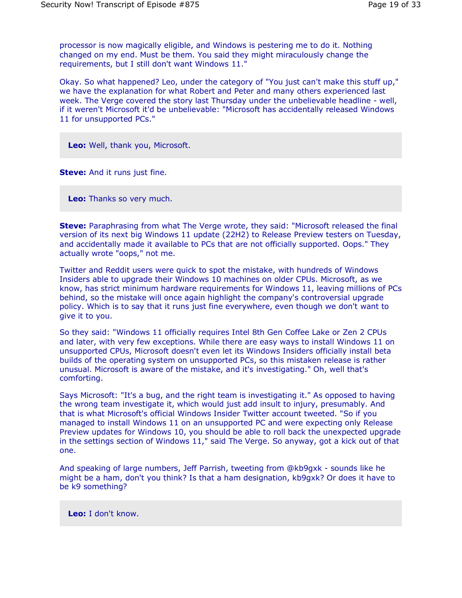processor is now magically eligible, and Windows is pestering me to do it. Nothing changed on my end. Must be them. You said they might miraculously change the requirements, but I still don't want Windows 11."

Okay. So what happened? Leo, under the category of "You just can't make this stuff up," we have the explanation for what Robert and Peter and many others experienced last week. The Verge covered the story last Thursday under the unbelievable headline - well, if it weren't Microsoft it'd be unbelievable: "Microsoft has accidentally released Windows 11 for unsupported PCs."

**Leo:** Well, thank you, Microsoft.

**Steve:** And it runs just fine.

**Leo:** Thanks so very much.

**Steve:** Paraphrasing from what The Verge wrote, they said: "Microsoft released the final version of its next big Windows 11 update (22H2) to Release Preview testers on Tuesday, and accidentally made it available to PCs that are not officially supported. Oops." They actually wrote "oops," not me.

Twitter and Reddit users were quick to spot the mistake, with hundreds of Windows Insiders able to upgrade their Windows 10 machines on older CPUs. Microsoft, as we know, has strict minimum hardware requirements for Windows 11, leaving millions of PCs behind, so the mistake will once again highlight the company's controversial upgrade policy. Which is to say that it runs just fine everywhere, even though we don't want to give it to you.

So they said: "Windows 11 officially requires Intel 8th Gen Coffee Lake or Zen 2 CPUs and later, with very few exceptions. While there are easy ways to install Windows 11 on unsupported CPUs, Microsoft doesn't even let its Windows Insiders officially install beta builds of the operating system on unsupported PCs, so this mistaken release is rather unusual. Microsoft is aware of the mistake, and it's investigating." Oh, well that's comforting.

Says Microsoft: "It's a bug, and the right team is investigating it." As opposed to having the wrong team investigate it, which would just add insult to injury, presumably. And that is what Microsoft's official Windows Insider Twitter account tweeted. "So if you managed to install Windows 11 on an unsupported PC and were expecting only Release Preview updates for Windows 10, you should be able to roll back the unexpected upgrade in the settings section of Windows 11," said The Verge. So anyway, got a kick out of that one.

And speaking of large numbers, Jeff Parrish, tweeting from @kb9gxk - sounds like he might be a ham, don't you think? Is that a ham designation, kb9gxk? Or does it have to be k9 something?

**Leo:** I don't know.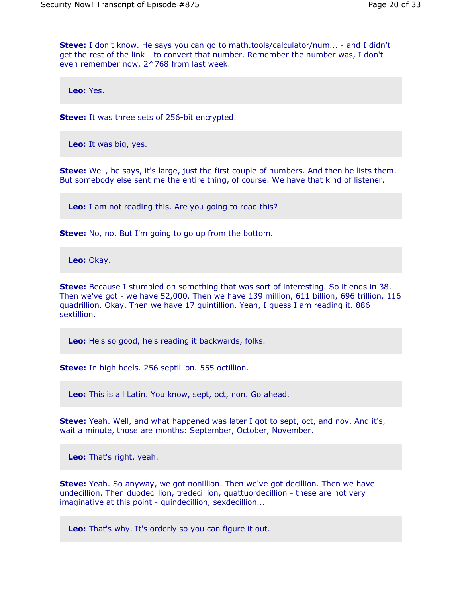**Steve:** I don't know. He says you can go to math.tools/calculator/num... - and I didn't get the rest of the link - to convert that number. Remember the number was, I don't even remember now, 2^768 from last week.

**Leo:** Yes.

**Steve:** It was three sets of 256-bit encrypted.

**Leo:** It was big, yes.

**Steve:** Well, he says, it's large, just the first couple of numbers. And then he lists them. But somebody else sent me the entire thing, of course. We have that kind of listener.

**Leo:** I am not reading this. Are you going to read this?

**Steve:** No, no. But I'm going to go up from the bottom.

**Leo:** Okay.

**Steve:** Because I stumbled on something that was sort of interesting. So it ends in 38. Then we've got - we have 52,000. Then we have 139 million, 611 billion, 696 trillion, 116 quadrillion. Okay. Then we have 17 quintillion. Yeah, I guess I am reading it. 886 sextillion.

**Leo:** He's so good, he's reading it backwards, folks.

**Steve:** In high heels. 256 septillion. 555 octillion.

**Leo:** This is all Latin. You know, sept, oct, non. Go ahead.

**Steve:** Yeah. Well, and what happened was later I got to sept, oct, and nov. And it's, wait a minute, those are months: September, October, November.

**Leo:** That's right, yeah.

**Steve:** Yeah. So anyway, we got nonillion. Then we've got decillion. Then we have undecillion. Then duodecillion, tredecillion, quattuordecillion - these are not very imaginative at this point - quindecillion, sexdecillion...

**Leo:** That's why. It's orderly so you can figure it out.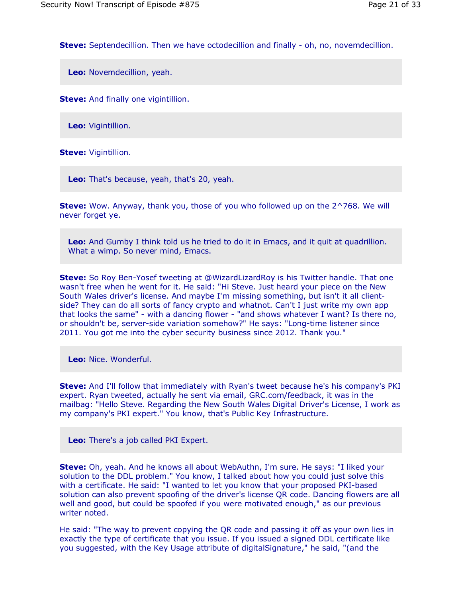**Steve:** Septendecillion. Then we have octodecillion and finally - oh, no, novemdecillion.

**Leo:** Novemdecillion, yeah.

**Steve:** And finally one vigintillion.

**Leo:** Vigintillion.

**Steve:** Vigintillion.

**Leo:** That's because, yeah, that's 20, yeah.

**Steve:** Wow. Anyway, thank you, those of you who followed up on the 2^768. We will never forget ye.

**Leo:** And Gumby I think told us he tried to do it in Emacs, and it quit at quadrillion. What a wimp. So never mind, Emacs.

**Steve:** So Roy Ben-Yosef tweeting at @WizardLizardRoy is his Twitter handle. That one wasn't free when he went for it. He said: "Hi Steve. Just heard your piece on the New South Wales driver's license. And maybe I'm missing something, but isn't it all clientside? They can do all sorts of fancy crypto and whatnot. Can't I just write my own app that looks the same" - with a dancing flower - "and shows whatever I want? Is there no, or shouldn't be, server-side variation somehow?" He says: "Long-time listener since 2011. You got me into the cyber security business since 2012. Thank you."

**Leo:** Nice. Wonderful.

**Steve:** And I'll follow that immediately with Ryan's tweet because he's his company's PKI expert. Ryan tweeted, actually he sent via email, GRC.com/feedback, it was in the mailbag: "Hello Steve. Regarding the New South Wales Digital Driver's License, I work as my company's PKI expert." You know, that's Public Key Infrastructure.

**Leo:** There's a job called PKI Expert.

**Steve:** Oh, yeah. And he knows all about WebAuthn, I'm sure. He says: "I liked your solution to the DDL problem." You know, I talked about how you could just solve this with a certificate. He said: "I wanted to let you know that your proposed PKI-based solution can also prevent spoofing of the driver's license QR code. Dancing flowers are all well and good, but could be spoofed if you were motivated enough," as our previous writer noted.

He said: "The way to prevent copying the QR code and passing it off as your own lies in exactly the type of certificate that you issue. If you issued a signed DDL certificate like you suggested, with the Key Usage attribute of digitalSignature," he said, "(and the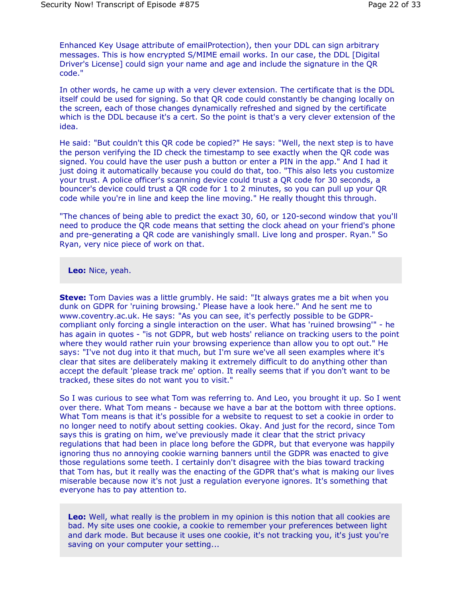Enhanced Key Usage attribute of emailProtection), then your DDL can sign arbitrary messages. This is how encrypted S/MIME email works. In our case, the DDL [Digital Driver's License] could sign your name and age and include the signature in the QR code."

In other words, he came up with a very clever extension. The certificate that is the DDL itself could be used for signing. So that QR code could constantly be changing locally on the screen, each of those changes dynamically refreshed and signed by the certificate which is the DDL because it's a cert. So the point is that's a very clever extension of the idea.

He said: "But couldn't this QR code be copied?" He says: "Well, the next step is to have the person verifying the ID check the timestamp to see exactly when the QR code was signed. You could have the user push a button or enter a PIN in the app." And I had it just doing it automatically because you could do that, too. "This also lets you customize your trust. A police officer's scanning device could trust a QR code for 30 seconds, a bouncer's device could trust a QR code for 1 to 2 minutes, so you can pull up your QR code while you're in line and keep the line moving." He really thought this through.

"The chances of being able to predict the exact 30, 60, or 120-second window that you'll need to produce the QR code means that setting the clock ahead on your friend's phone and pre-generating a QR code are vanishingly small. Live long and prosper. Ryan." So Ryan, very nice piece of work on that.

**Leo:** Nice, yeah.

**Steve:** Tom Davies was a little grumbly. He said: "It always grates me a bit when you dunk on GDPR for 'ruining browsing.' Please have a look here." And he sent me to www.coventry.ac.uk. He says: "As you can see, it's perfectly possible to be GDPRcompliant only forcing a single interaction on the user. What has 'ruined browsing'" - he has again in quotes - "is not GDPR, but web hosts' reliance on tracking users to the point where they would rather ruin your browsing experience than allow you to opt out." He says: "I've not dug into it that much, but I'm sure we've all seen examples where it's clear that sites are deliberately making it extremely difficult to do anything other than accept the default 'please track me' option. It really seems that if you don't want to be tracked, these sites do not want you to visit."

So I was curious to see what Tom was referring to. And Leo, you brought it up. So I went over there. What Tom means - because we have a bar at the bottom with three options. What Tom means is that it's possible for a website to request to set a cookie in order to no longer need to notify about setting cookies. Okay. And just for the record, since Tom says this is grating on him, we've previously made it clear that the strict privacy regulations that had been in place long before the GDPR, but that everyone was happily ignoring thus no annoying cookie warning banners until the GDPR was enacted to give those regulations some teeth. I certainly don't disagree with the bias toward tracking that Tom has, but it really was the enacting of the GDPR that's what is making our lives miserable because now it's not just a regulation everyone ignores. It's something that everyone has to pay attention to.

**Leo:** Well, what really is the problem in my opinion is this notion that all cookies are bad. My site uses one cookie, a cookie to remember your preferences between light and dark mode. But because it uses one cookie, it's not tracking you, it's just you're saving on your computer your setting...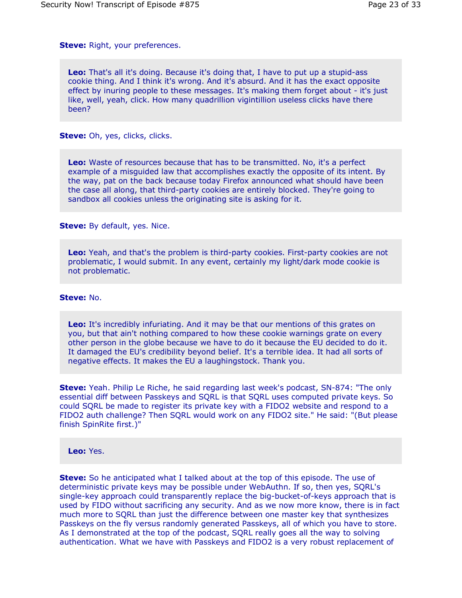**Steve:** Right, your preferences.

**Leo:** That's all it's doing. Because it's doing that, I have to put up a stupid-ass cookie thing. And I think it's wrong. And it's absurd. And it has the exact opposite effect by inuring people to these messages. It's making them forget about - it's just like, well, yeah, click. How many quadrillion vigintillion useless clicks have there been?

**Steve:** Oh, yes, clicks, clicks.

**Leo:** Waste of resources because that has to be transmitted. No, it's a perfect example of a misguided law that accomplishes exactly the opposite of its intent. By the way, pat on the back because today Firefox announced what should have been the case all along, that third-party cookies are entirely blocked. They're going to sandbox all cookies unless the originating site is asking for it.

**Steve:** By default, yes. Nice.

**Leo:** Yeah, and that's the problem is third-party cookies. First-party cookies are not problematic, I would submit. In any event, certainly my light/dark mode cookie is not problematic.

### **Steve:** No.

**Leo:** It's incredibly infuriating. And it may be that our mentions of this grates on you, but that ain't nothing compared to how these cookie warnings grate on every other person in the globe because we have to do it because the EU decided to do it. It damaged the EU's credibility beyond belief. It's a terrible idea. It had all sorts of negative effects. It makes the EU a laughingstock. Thank you.

**Steve:** Yeah. Philip Le Riche, he said regarding last week's podcast, SN-874: "The only essential diff between Passkeys and SQRL is that SQRL uses computed private keys. So could SQRL be made to register its private key with a FIDO2 website and respond to a FIDO2 auth challenge? Then SQRL would work on any FIDO2 site." He said: "(But please finish SpinRite first.)"

**Leo:** Yes.

**Steve:** So he anticipated what I talked about at the top of this episode. The use of deterministic private keys may be possible under WebAuthn. If so, then yes, SQRL's single-key approach could transparently replace the big-bucket-of-keys approach that is used by FIDO without sacrificing any security. And as we now more know, there is in fact much more to SQRL than just the difference between one master key that synthesizes Passkeys on the fly versus randomly generated Passkeys, all of which you have to store. As I demonstrated at the top of the podcast, SQRL really goes all the way to solving authentication. What we have with Passkeys and FIDO2 is a very robust replacement of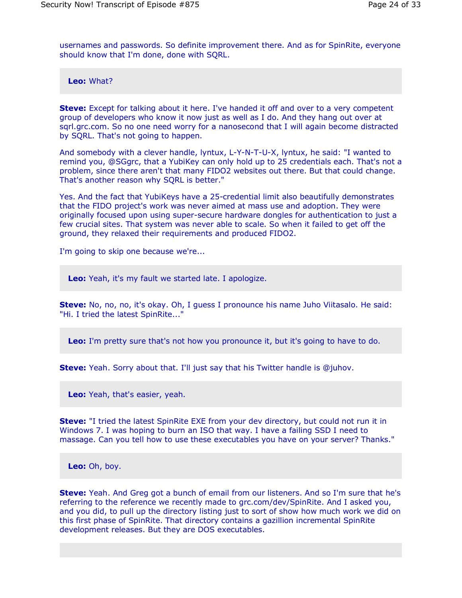usernames and passwords. So definite improvement there. And as for SpinRite, everyone should know that I'm done, done with SQRL.

**Leo:** What?

**Steve:** Except for talking about it here. I've handed it off and over to a very competent group of developers who know it now just as well as I do. And they hang out over at sqrl.grc.com. So no one need worry for a nanosecond that I will again become distracted by SQRL. That's not going to happen.

And somebody with a clever handle, lyntux, L-Y-N-T-U-X, lyntux, he said: "I wanted to remind you, @SGgrc, that a YubiKey can only hold up to 25 credentials each. That's not a problem, since there aren't that many FIDO2 websites out there. But that could change. That's another reason why SQRL is better."

Yes. And the fact that YubiKeys have a 25-credential limit also beautifully demonstrates that the FIDO project's work was never aimed at mass use and adoption. They were originally focused upon using super-secure hardware dongles for authentication to just a few crucial sites. That system was never able to scale. So when it failed to get off the ground, they relaxed their requirements and produced FIDO2.

I'm going to skip one because we're...

**Leo:** Yeah, it's my fault we started late. I apologize.

**Steve:** No, no, no, it's okay. Oh, I guess I pronounce his name Juho Viitasalo. He said: "Hi. I tried the latest SpinRite..."

**Leo:** I'm pretty sure that's not how you pronounce it, but it's going to have to do.

**Steve:** Yeah. Sorry about that. I'll just say that his Twitter handle is @juhov.

**Leo:** Yeah, that's easier, yeah.

**Steve:** "I tried the latest SpinRite EXE from your dev directory, but could not run it in Windows 7. I was hoping to burn an ISO that way. I have a failing SSD I need to massage. Can you tell how to use these executables you have on your server? Thanks."

**Leo:** Oh, boy.

**Steve:** Yeah. And Greg got a bunch of email from our listeners. And so I'm sure that he's referring to the reference we recently made to grc.com/dev/SpinRite. And I asked you, and you did, to pull up the directory listing just to sort of show how much work we did on this first phase of SpinRite. That directory contains a gazillion incremental SpinRite development releases. But they are DOS executables.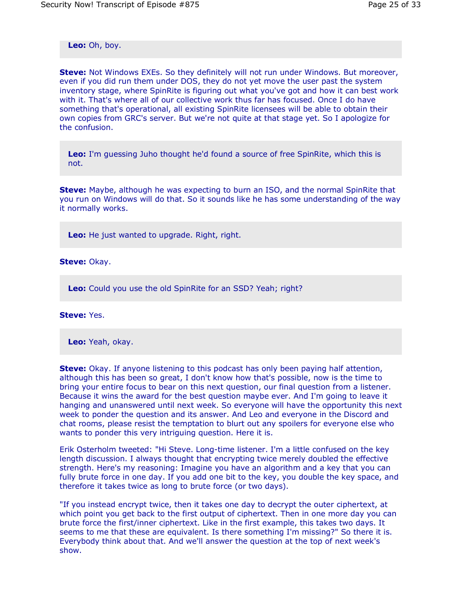**Leo:** Oh, boy.

**Steve:** Not Windows EXEs. So they definitely will not run under Windows. But moreover, even if you did run them under DOS, they do not yet move the user past the system inventory stage, where SpinRite is figuring out what you've got and how it can best work with it. That's where all of our collective work thus far has focused. Once I do have something that's operational, all existing SpinRite licensees will be able to obtain their own copies from GRC's server. But we're not quite at that stage yet. So I apologize for the confusion.

**Leo:** I'm guessing Juho thought he'd found a source of free SpinRite, which this is not.

**Steve:** Maybe, although he was expecting to burn an ISO, and the normal SpinRite that you run on Windows will do that. So it sounds like he has some understanding of the way it normally works.

**Leo:** He just wanted to upgrade. Right, right.

**Steve:** Okay.

**Leo:** Could you use the old SpinRite for an SSD? Yeah; right?

**Steve:** Yes.

**Leo:** Yeah, okay.

**Steve:** Okay. If anyone listening to this podcast has only been paying half attention, although this has been so great, I don't know how that's possible, now is the time to bring your entire focus to bear on this next question, our final question from a listener. Because it wins the award for the best question maybe ever. And I'm going to leave it hanging and unanswered until next week. So everyone will have the opportunity this next week to ponder the question and its answer. And Leo and everyone in the Discord and chat rooms, please resist the temptation to blurt out any spoilers for everyone else who wants to ponder this very intriguing question. Here it is.

Erik Osterholm tweeted: "Hi Steve. Long-time listener. I'm a little confused on the key length discussion. I always thought that encrypting twice merely doubled the effective strength. Here's my reasoning: Imagine you have an algorithm and a key that you can fully brute force in one day. If you add one bit to the key, you double the key space, and therefore it takes twice as long to brute force (or two days).

"If you instead encrypt twice, then it takes one day to decrypt the outer ciphertext, at which point you get back to the first output of ciphertext. Then in one more day you can brute force the first/inner ciphertext. Like in the first example, this takes two days. It seems to me that these are equivalent. Is there something I'm missing?" So there it is. Everybody think about that. And we'll answer the question at the top of next week's show.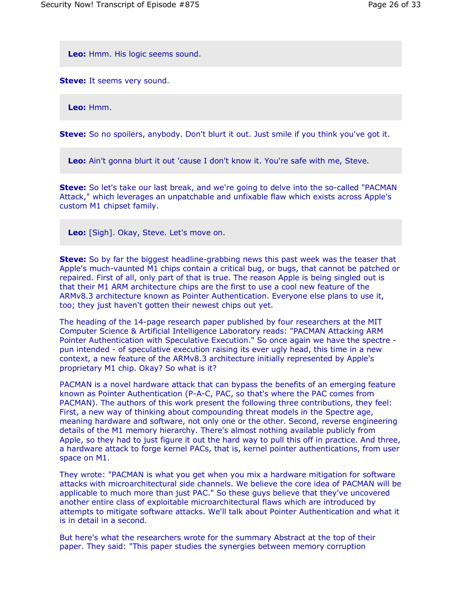**Leo:** Hmm. His logic seems sound.

**Steve:** It seems very sound.

**Leo:** Hmm.

**Steve:** So no spoilers, anybody. Don't blurt it out. Just smile if you think you've got it.

**Leo:** Ain't gonna blurt it out 'cause I don't know it. You're safe with me, Steve.

**Steve:** So let's take our last break, and we're going to delve into the so-called "PACMAN Attack," which leverages an unpatchable and unfixable flaw which exists across Apple's custom M1 chipset family.

**Leo:** [Sigh]. Okay, Steve. Let's move on.

**Steve:** So by far the biggest headline-grabbing news this past week was the teaser that Apple's much-vaunted M1 chips contain a critical bug, or bugs, that cannot be patched or repaired. First of all, only part of that is true. The reason Apple is being singled out is that their M1 ARM architecture chips are the first to use a cool new feature of the ARMv8.3 architecture known as Pointer Authentication. Everyone else plans to use it, too; they just haven't gotten their newest chips out yet.

The heading of the 14-page research paper published by four researchers at the MIT Computer Science & Artificial Intelligence Laboratory reads: "PACMAN Attacking ARM Pointer Authentication with Speculative Execution." So once again we have the spectre pun intended - of speculative execution raising its ever ugly head, this time in a new context, a new feature of the ARMv8.3 architecture initially represented by Apple's proprietary M1 chip. Okay? So what is it?

PACMAN is a novel hardware attack that can bypass the benefits of an emerging feature known as Pointer Authentication (P-A-C, PAC, so that's where the PAC comes from PACMAN). The authors of this work present the following three contributions, they feel: First, a new way of thinking about compounding threat models in the Spectre age, meaning hardware and software, not only one or the other. Second, reverse engineering details of the M1 memory hierarchy. There's almost nothing available publicly from Apple, so they had to just figure it out the hard way to pull this off in practice. And three, a hardware attack to forge kernel PACs, that is, kernel pointer authentications, from user space on M1.

They wrote: "PACMAN is what you get when you mix a hardware mitigation for software attacks with microarchitectural side channels. We believe the core idea of PACMAN will be applicable to much more than just PAC." So these guys believe that they've uncovered another entire class of exploitable microarchitectural flaws which are introduced by attempts to mitigate software attacks. We'll talk about Pointer Authentication and what it is in detail in a second.

But here's what the researchers wrote for the summary Abstract at the top of their paper. They said: "This paper studies the synergies between memory corruption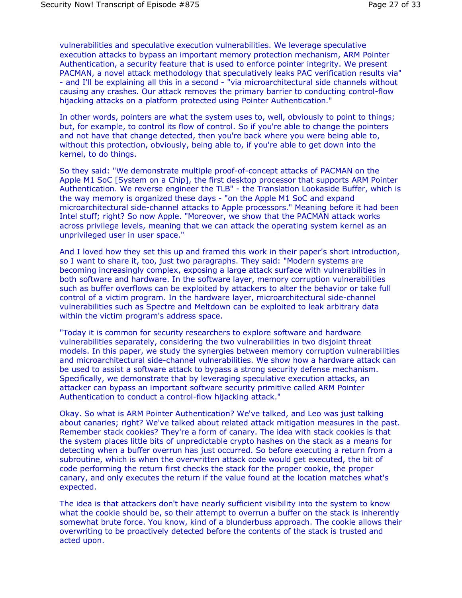vulnerabilities and speculative execution vulnerabilities. We leverage speculative execution attacks to bypass an important memory protection mechanism, ARM Pointer Authentication, a security feature that is used to enforce pointer integrity. We present PACMAN, a novel attack methodology that speculatively leaks PAC verification results via" - and I'll be explaining all this in a second - "via microarchitectural side channels without causing any crashes. Our attack removes the primary barrier to conducting control-flow hijacking attacks on a platform protected using Pointer Authentication."

In other words, pointers are what the system uses to, well, obviously to point to things; but, for example, to control its flow of control. So if you're able to change the pointers and not have that change detected, then you're back where you were being able to, without this protection, obviously, being able to, if you're able to get down into the kernel, to do things.

So they said: "We demonstrate multiple proof-of-concept attacks of PACMAN on the Apple M1 SoC [System on a Chip], the first desktop processor that supports ARM Pointer Authentication. We reverse engineer the TLB" - the Translation Lookaside Buffer, which is the way memory is organized these days - "on the Apple M1 SoC and expand microarchitectural side-channel attacks to Apple processors." Meaning before it had been Intel stuff; right? So now Apple. "Moreover, we show that the PACMAN attack works across privilege levels, meaning that we can attack the operating system kernel as an unprivileged user in user space."

And I loved how they set this up and framed this work in their paper's short introduction, so I want to share it, too, just two paragraphs. They said: "Modern systems are becoming increasingly complex, exposing a large attack surface with vulnerabilities in both software and hardware. In the software layer, memory corruption vulnerabilities such as buffer overflows can be exploited by attackers to alter the behavior or take full control of a victim program. In the hardware layer, microarchitectural side-channel vulnerabilities such as Spectre and Meltdown can be exploited to leak arbitrary data within the victim program's address space.

"Today it is common for security researchers to explore software and hardware vulnerabilities separately, considering the two vulnerabilities in two disjoint threat models. In this paper, we study the synergies between memory corruption vulnerabilities and microarchitectural side-channel vulnerabilities. We show how a hardware attack can be used to assist a software attack to bypass a strong security defense mechanism. Specifically, we demonstrate that by leveraging speculative execution attacks, an attacker can bypass an important software security primitive called ARM Pointer Authentication to conduct a control-flow hijacking attack."

Okay. So what is ARM Pointer Authentication? We've talked, and Leo was just talking about canaries; right? We've talked about related attack mitigation measures in the past. Remember stack cookies? They're a form of canary. The idea with stack cookies is that the system places little bits of unpredictable crypto hashes on the stack as a means for detecting when a buffer overrun has just occurred. So before executing a return from a subroutine, which is when the overwritten attack code would get executed, the bit of code performing the return first checks the stack for the proper cookie, the proper canary, and only executes the return if the value found at the location matches what's expected.

The idea is that attackers don't have nearly sufficient visibility into the system to know what the cookie should be, so their attempt to overrun a buffer on the stack is inherently somewhat brute force. You know, kind of a blunderbuss approach. The cookie allows their overwriting to be proactively detected before the contents of the stack is trusted and acted upon.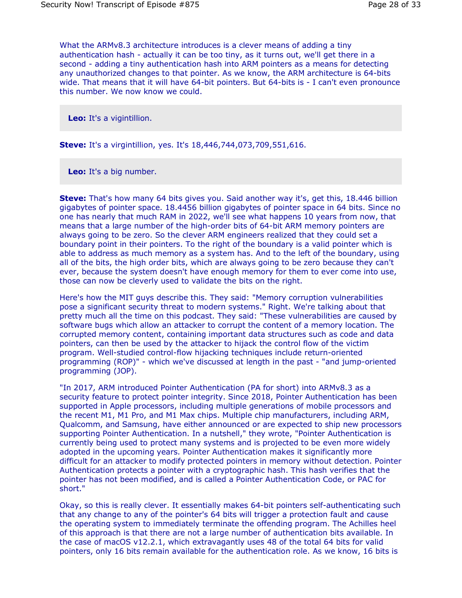What the ARMv8.3 architecture introduces is a clever means of adding a tiny authentication hash - actually it can be too tiny, as it turns out, we'll get there in a second - adding a tiny authentication hash into ARM pointers as a means for detecting any unauthorized changes to that pointer. As we know, the ARM architecture is 64-bits wide. That means that it will have 64-bit pointers. But 64-bits is - I can't even pronounce this number. We now know we could.

**Leo:** It's a vigintillion.

**Steve:** It's a virgintillion, yes. It's 18,446,744,073,709,551,616.

**Leo:** It's a big number.

**Steve:** That's how many 64 bits gives you. Said another way it's, get this, 18.446 billion gigabytes of pointer space. 18.4456 billion gigabytes of pointer space in 64 bits. Since no one has nearly that much RAM in 2022, we'll see what happens 10 years from now, that means that a large number of the high-order bits of 64-bit ARM memory pointers are always going to be zero. So the clever ARM engineers realized that they could set a boundary point in their pointers. To the right of the boundary is a valid pointer which is able to address as much memory as a system has. And to the left of the boundary, using all of the bits, the high order bits, which are always going to be zero because they can't ever, because the system doesn't have enough memory for them to ever come into use, those can now be cleverly used to validate the bits on the right.

Here's how the MIT guys describe this. They said: "Memory corruption vulnerabilities pose a significant security threat to modern systems." Right. We're talking about that pretty much all the time on this podcast. They said: "These vulnerabilities are caused by software bugs which allow an attacker to corrupt the content of a memory location. The corrupted memory content, containing important data structures such as code and data pointers, can then be used by the attacker to hijack the control flow of the victim program. Well-studied control-flow hijacking techniques include return-oriented programming (ROP)" - which we've discussed at length in the past - "and jump-oriented programming (JOP).

"In 2017, ARM introduced Pointer Authentication (PA for short) into ARMv8.3 as a security feature to protect pointer integrity. Since 2018, Pointer Authentication has been supported in Apple processors, including multiple generations of mobile processors and the recent M1, M1 Pro, and M1 Max chips. Multiple chip manufacturers, including ARM, Qualcomm, and Samsung, have either announced or are expected to ship new processors supporting Pointer Authentication. In a nutshell," they wrote, "Pointer Authentication is currently being used to protect many systems and is projected to be even more widely adopted in the upcoming years. Pointer Authentication makes it significantly more difficult for an attacker to modify protected pointers in memory without detection. Pointer Authentication protects a pointer with a cryptographic hash. This hash verifies that the pointer has not been modified, and is called a Pointer Authentication Code, or PAC for short."

Okay, so this is really clever. It essentially makes 64-bit pointers self-authenticating such that any change to any of the pointer's 64 bits will trigger a protection fault and cause the operating system to immediately terminate the offending program. The Achilles heel of this approach is that there are not a large number of authentication bits available. In the case of macOS v12.2.1, which extravagantly uses 48 of the total 64 bits for valid pointers, only 16 bits remain available for the authentication role. As we know, 16 bits is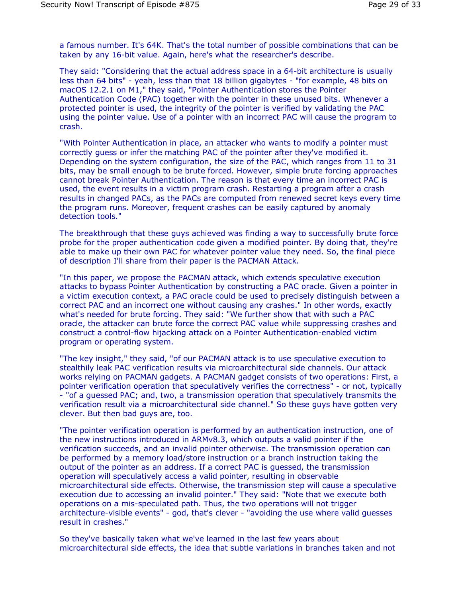a famous number. It's 64K. That's the total number of possible combinations that can be taken by any 16-bit value. Again, here's what the researcher's describe.

They said: "Considering that the actual address space in a 64-bit architecture is usually less than 64 bits" - yeah, less than that 18 billion gigabytes - "for example, 48 bits on macOS 12.2.1 on M1," they said, "Pointer Authentication stores the Pointer Authentication Code (PAC) together with the pointer in these unused bits. Whenever a protected pointer is used, the integrity of the pointer is verified by validating the PAC using the pointer value. Use of a pointer with an incorrect PAC will cause the program to crash.

"With Pointer Authentication in place, an attacker who wants to modify a pointer must correctly guess or infer the matching PAC of the pointer after they've modified it. Depending on the system configuration, the size of the PAC, which ranges from 11 to 31 bits, may be small enough to be brute forced. However, simple brute forcing approaches cannot break Pointer Authentication. The reason is that every time an incorrect PAC is used, the event results in a victim program crash. Restarting a program after a crash results in changed PACs, as the PACs are computed from renewed secret keys every time the program runs. Moreover, frequent crashes can be easily captured by anomaly detection tools."

The breakthrough that these guys achieved was finding a way to successfully brute force probe for the proper authentication code given a modified pointer. By doing that, they're able to make up their own PAC for whatever pointer value they need. So, the final piece of description I'll share from their paper is the PACMAN Attack.

"In this paper, we propose the PACMAN attack, which extends speculative execution attacks to bypass Pointer Authentication by constructing a PAC oracle. Given a pointer in a victim execution context, a PAC oracle could be used to precisely distinguish between a correct PAC and an incorrect one without causing any crashes." In other words, exactly what's needed for brute forcing. They said: "We further show that with such a PAC oracle, the attacker can brute force the correct PAC value while suppressing crashes and construct a control-flow hijacking attack on a Pointer Authentication-enabled victim program or operating system.

"The key insight," they said, "of our PACMAN attack is to use speculative execution to stealthily leak PAC verification results via microarchitectural side channels. Our attack works relying on PACMAN gadgets. A PACMAN gadget consists of two operations: First, a pointer verification operation that speculatively verifies the correctness" - or not, typically - "of a guessed PAC; and, two, a transmission operation that speculatively transmits the verification result via a microarchitectural side channel." So these guys have gotten very clever. But then bad guys are, too.

"The pointer verification operation is performed by an authentication instruction, one of the new instructions introduced in ARMv8.3, which outputs a valid pointer if the verification succeeds, and an invalid pointer otherwise. The transmission operation can be performed by a memory load/store instruction or a branch instruction taking the output of the pointer as an address. If a correct PAC is guessed, the transmission operation will speculatively access a valid pointer, resulting in observable microarchitectural side effects. Otherwise, the transmission step will cause a speculative execution due to accessing an invalid pointer." They said: "Note that we execute both operations on a mis-speculated path. Thus, the two operations will not trigger architecture-visible events" - god, that's clever - "avoiding the use where valid guesses result in crashes."

So they've basically taken what we've learned in the last few years about microarchitectural side effects, the idea that subtle variations in branches taken and not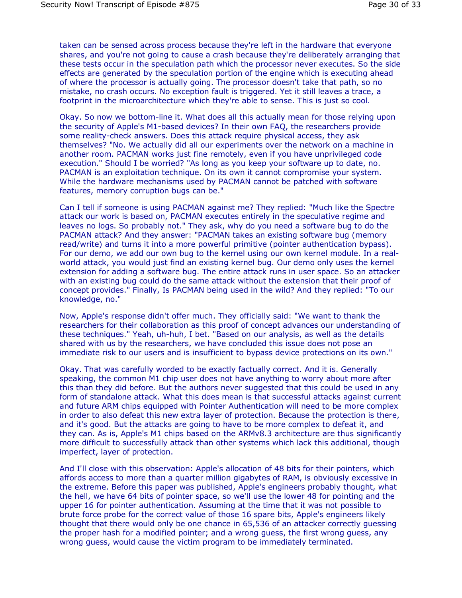taken can be sensed across process because they're left in the hardware that everyone shares, and you're not going to cause a crash because they're deliberately arranging that these tests occur in the speculation path which the processor never executes. So the side effects are generated by the speculation portion of the engine which is executing ahead of where the processor is actually going. The processor doesn't take that path, so no mistake, no crash occurs. No exception fault is triggered. Yet it still leaves a trace, a footprint in the microarchitecture which they're able to sense. This is just so cool.

Okay. So now we bottom-line it. What does all this actually mean for those relying upon the security of Apple's M1-based devices? In their own FAQ, the researchers provide some reality-check answers. Does this attack require physical access, they ask themselves? "No. We actually did all our experiments over the network on a machine in another room. PACMAN works just fine remotely, even if you have unprivileged code execution." Should I be worried? "As long as you keep your software up to date, no. PACMAN is an exploitation technique. On its own it cannot compromise your system. While the hardware mechanisms used by PACMAN cannot be patched with software features, memory corruption bugs can be."

Can I tell if someone is using PACMAN against me? They replied: "Much like the Spectre attack our work is based on, PACMAN executes entirely in the speculative regime and leaves no logs. So probably not." They ask, why do you need a software bug to do the PACMAN attack? And they answer: "PACMAN takes an existing software bug (memory read/write) and turns it into a more powerful primitive (pointer authentication bypass). For our demo, we add our own bug to the kernel using our own kernel module. In a realworld attack, you would just find an existing kernel bug. Our demo only uses the kernel extension for adding a software bug. The entire attack runs in user space. So an attacker with an existing bug could do the same attack without the extension that their proof of concept provides." Finally, Is PACMAN being used in the wild? And they replied: "To our knowledge, no."

Now, Apple's response didn't offer much. They officially said: "We want to thank the researchers for their collaboration as this proof of concept advances our understanding of these techniques." Yeah, uh-huh, I bet. "Based on our analysis, as well as the details shared with us by the researchers, we have concluded this issue does not pose an immediate risk to our users and is insufficient to bypass device protections on its own."

Okay. That was carefully worded to be exactly factually correct. And it is. Generally speaking, the common M1 chip user does not have anything to worry about more after this than they did before. But the authors never suggested that this could be used in any form of standalone attack. What this does mean is that successful attacks against current and future ARM chips equipped with Pointer Authentication will need to be more complex in order to also defeat this new extra layer of protection. Because the protection is there, and it's good. But the attacks are going to have to be more complex to defeat it, and they can. As is, Apple's M1 chips based on the ARMv8.3 architecture are thus significantly more difficult to successfully attack than other systems which lack this additional, though imperfect, layer of protection.

And I'll close with this observation: Apple's allocation of 48 bits for their pointers, which affords access to more than a quarter million gigabytes of RAM, is obviously excessive in the extreme. Before this paper was published, Apple's engineers probably thought, what the hell, we have 64 bits of pointer space, so we'll use the lower 48 for pointing and the upper 16 for pointer authentication. Assuming at the time that it was not possible to brute force probe for the correct value of those 16 spare bits, Apple's engineers likely thought that there would only be one chance in 65,536 of an attacker correctly guessing the proper hash for a modified pointer; and a wrong guess, the first wrong guess, any wrong guess, would cause the victim program to be immediately terminated.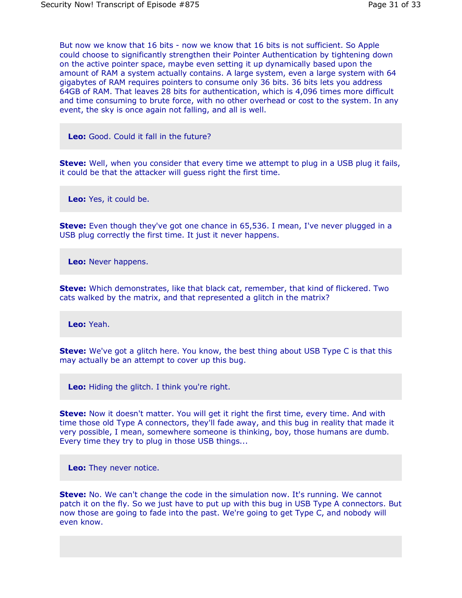But now we know that 16 bits - now we know that 16 bits is not sufficient. So Apple could choose to significantly strengthen their Pointer Authentication by tightening down on the active pointer space, maybe even setting it up dynamically based upon the amount of RAM a system actually contains. A large system, even a large system with 64 gigabytes of RAM requires pointers to consume only 36 bits. 36 bits lets you address 64GB of RAM. That leaves 28 bits for authentication, which is 4,096 times more difficult and time consuming to brute force, with no other overhead or cost to the system. In any event, the sky is once again not falling, and all is well.

**Leo:** Good. Could it fall in the future?

**Steve:** Well, when you consider that every time we attempt to plug in a USB plug it fails, it could be that the attacker will guess right the first time.

**Leo:** Yes, it could be.

**Steve:** Even though they've got one chance in 65,536. I mean, I've never plugged in a USB plug correctly the first time. It just it never happens.

**Leo:** Never happens.

**Steve:** Which demonstrates, like that black cat, remember, that kind of flickered. Two cats walked by the matrix, and that represented a glitch in the matrix?

**Leo:** Yeah.

**Steve:** We've got a glitch here. You know, the best thing about USB Type C is that this may actually be an attempt to cover up this bug.

**Leo:** Hiding the glitch. I think you're right.

**Steve:** Now it doesn't matter. You will get it right the first time, every time. And with time those old Type A connectors, they'll fade away, and this bug in reality that made it very possible, I mean, somewhere someone is thinking, boy, those humans are dumb. Every time they try to plug in those USB things...

**Leo:** They never notice.

**Steve:** No. We can't change the code in the simulation now. It's running. We cannot patch it on the fly. So we just have to put up with this bug in USB Type A connectors. But now those are going to fade into the past. We're going to get Type C, and nobody will even know.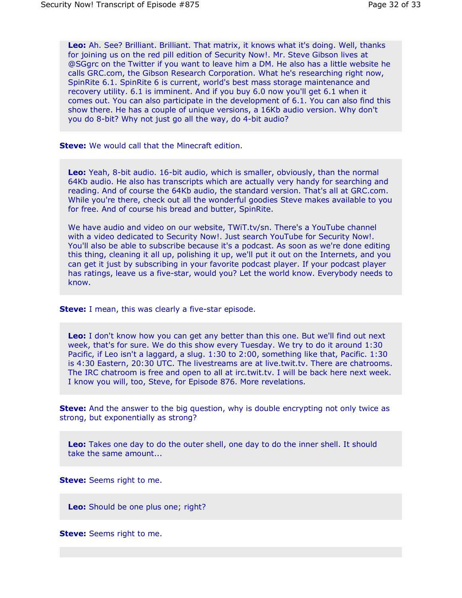**Leo:** Ah. See? Brilliant. Brilliant. That matrix, it knows what it's doing. Well, thanks for joining us on the red pill edition of Security Now!. Mr. Steve Gibson lives at @SGgrc on the Twitter if you want to leave him a DM. He also has a little website he calls GRC.com, the Gibson Research Corporation. What he's researching right now, SpinRite 6.1. SpinRite 6 is current, world's best mass storage maintenance and recovery utility. 6.1 is imminent. And if you buy 6.0 now you'll get 6.1 when it comes out. You can also participate in the development of 6.1. You can also find this show there. He has a couple of unique versions, a 16Kb audio version. Why don't you do 8-bit? Why not just go all the way, do 4-bit audio?

**Steve:** We would call that the Minecraft edition.

**Leo:** Yeah, 8-bit audio. 16-bit audio, which is smaller, obviously, than the normal 64Kb audio. He also has transcripts which are actually very handy for searching and reading. And of course the 64Kb audio, the standard version. That's all at GRC.com. While you're there, check out all the wonderful goodies Steve makes available to you for free. And of course his bread and butter, SpinRite.

We have audio and video on our website, TWiT.tv/sn. There's a YouTube channel with a video dedicated to Security Now!. Just search YouTube for Security Now!. You'll also be able to subscribe because it's a podcast. As soon as we're done editing this thing, cleaning it all up, polishing it up, we'll put it out on the Internets, and you can get it just by subscribing in your favorite podcast player. If your podcast player has ratings, leave us a five-star, would you? Let the world know. Everybody needs to know.

**Steve:** I mean, this was clearly a five-star episode.

**Leo:** I don't know how you can get any better than this one. But we'll find out next week, that's for sure. We do this show every Tuesday. We try to do it around 1:30 Pacific, if Leo isn't a laggard, a slug. 1:30 to 2:00, something like that, Pacific. 1:30 is 4:30 Eastern, 20:30 UTC. The livestreams are at live.twit.tv. There are chatrooms. The IRC chatroom is free and open to all at irc.twit.tv. I will be back here next week. I know you will, too, Steve, for Episode 876. More revelations.

**Steve:** And the answer to the big question, why is double encrypting not only twice as strong, but exponentially as strong?

**Leo:** Takes one day to do the outer shell, one day to do the inner shell. It should take the same amount...

**Steve:** Seems right to me.

**Leo:** Should be one plus one; right?

**Steve:** Seems right to me.